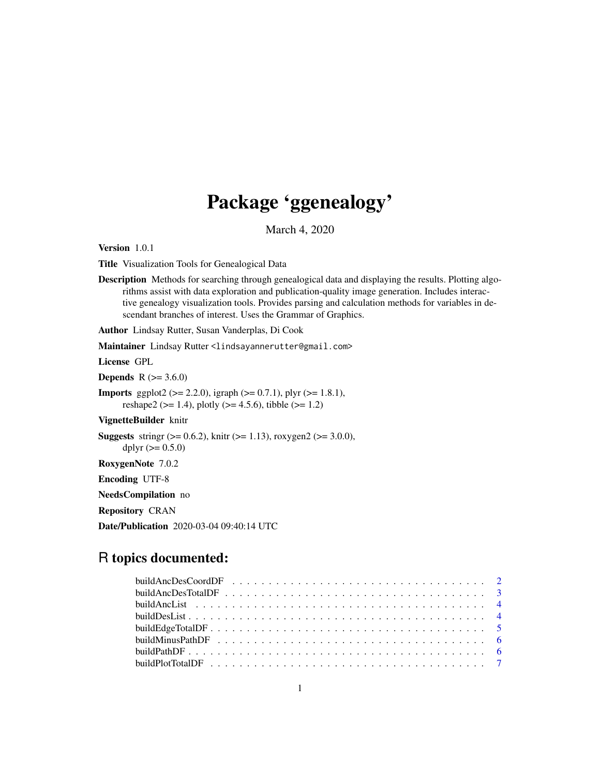# Package 'ggenealogy'

March 4, 2020

<span id="page-0-0"></span>Version 1.0.1

Title Visualization Tools for Genealogical Data

Description Methods for searching through genealogical data and displaying the results. Plotting algorithms assist with data exploration and publication-quality image generation. Includes interactive genealogy visualization tools. Provides parsing and calculation methods for variables in descendant branches of interest. Uses the Grammar of Graphics.

Author Lindsay Rutter, Susan Vanderplas, Di Cook

Maintainer Lindsay Rutter<lindsayannerutter@gmail.com>

License GPL

**Depends** R  $(>= 3.6.0)$ 

**Imports** ggplot2 ( $>= 2.2.0$ ), igraph ( $>= 0.7.1$ ), plyr ( $>= 1.8.1$ ), reshape2 ( $>= 1.4$ ), plotly ( $>= 4.5.6$ ), tibble ( $>= 1.2$ )

VignetteBuilder knitr

**Suggests** stringr ( $> = 0.6.2$ ), knitr ( $> = 1.13$ ), roxygen2 ( $> = 3.0.0$ ), dplyr  $(>= 0.5.0)$ RoxygenNote 7.0.2 Encoding UTF-8 NeedsCompilation no Repository CRAN Date/Publication 2020-03-04 09:40:14 UTC

# R topics documented:

| buildMinusPathDF $\ldots \ldots \ldots \ldots \ldots \ldots \ldots \ldots \ldots \ldots \ldots \ldots \ldots$ |  |
|---------------------------------------------------------------------------------------------------------------|--|
|                                                                                                               |  |
|                                                                                                               |  |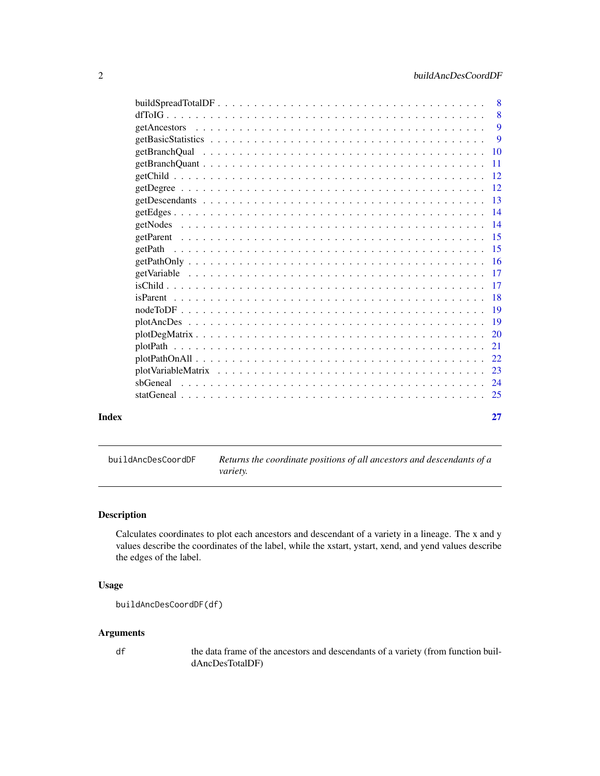<span id="page-1-0"></span>

| Index |                                               | 27            |
|-------|-----------------------------------------------|---------------|
|       |                                               |               |
|       |                                               |               |
|       |                                               |               |
|       |                                               |               |
|       |                                               | 21            |
|       | $plotDegMatrix, , , , , , , , , , , , , , , $ | <sup>20</sup> |
|       |                                               |               |
|       |                                               |               |
|       |                                               |               |
|       |                                               |               |
|       |                                               |               |
|       |                                               |               |
|       |                                               |               |
|       |                                               |               |
|       |                                               |               |
|       |                                               |               |
|       |                                               |               |
|       |                                               |               |
|       |                                               |               |
|       |                                               |               |
|       |                                               |               |
|       |                                               | <b>9</b>      |
|       |                                               | 9             |
|       |                                               | 8             |
|       |                                               | -8            |

buildAncDesCoordDF *Returns the coordinate positions of all ancestors and descendants of a variety.*

# Description

Calculates coordinates to plot each ancestors and descendant of a variety in a lineage. The x and y values describe the coordinates of the label, while the xstart, ystart, xend, and yend values describe the edges of the label.

# Usage

```
buildAncDesCoordDF(df)
```
# Arguments

df the data frame of the ancestors and descendants of a variety (from function buildAncDesTotalDF)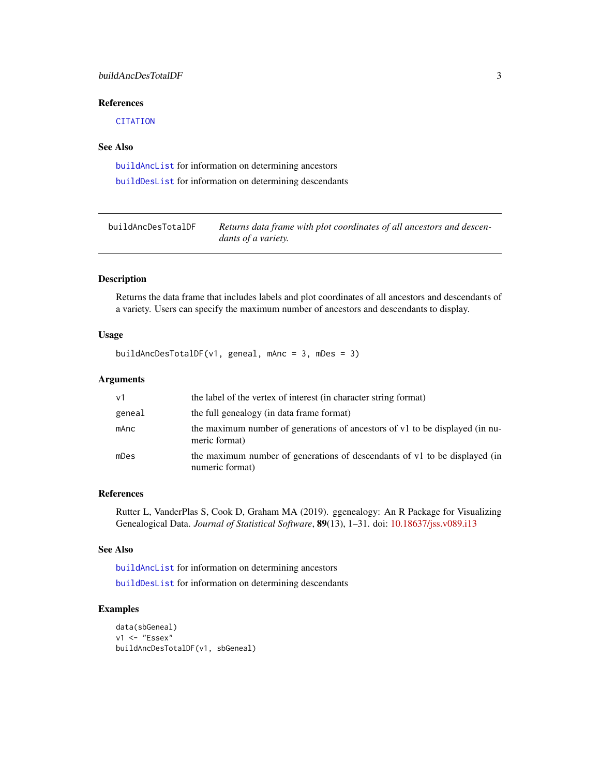# <span id="page-2-0"></span>buildAncDesTotalDF 3

# References

**[CITATION](#page-0-0)** 

#### See Also

[buildAncList](#page-3-1) for information on determining ancestors

[buildDesList](#page-3-2) for information on determining descendants

buildAncDesTotalDF *Returns data frame with plot coordinates of all ancestors and descendants of a variety.*

#### Description

Returns the data frame that includes labels and plot coordinates of all ancestors and descendants of a variety. Users can specify the maximum number of ancestors and descendants to display.

#### Usage

buildAncDesTotalDF(v1, geneal, mAnc = 3, mDes = 3)

#### Arguments

| v <sub>1</sub> | the label of the vertex of interest (in character string format)                              |
|----------------|-----------------------------------------------------------------------------------------------|
| geneal         | the full genealogy (in data frame format)                                                     |
| mAnc           | the maximum number of generations of ancestors of v1 to be displayed (in nu-<br>meric format) |
| mDes           | the maximum number of generations of descendants of v1 to be displayed (in<br>numeric format) |

#### References

Rutter L, VanderPlas S, Cook D, Graham MA (2019). ggenealogy: An R Package for Visualizing Genealogical Data. *Journal of Statistical Software*, 89(13), 1–31. doi: [10.18637/jss.v089.i13](https://doi.org/10.18637/jss.v089.i13)

# See Also

[buildAncList](#page-3-1) for information on determining ancestors

[buildDesList](#page-3-2) for information on determining descendants

```
data(sbGeneal)
v1 <- "Essex"
buildAncDesTotalDF(v1, sbGeneal)
```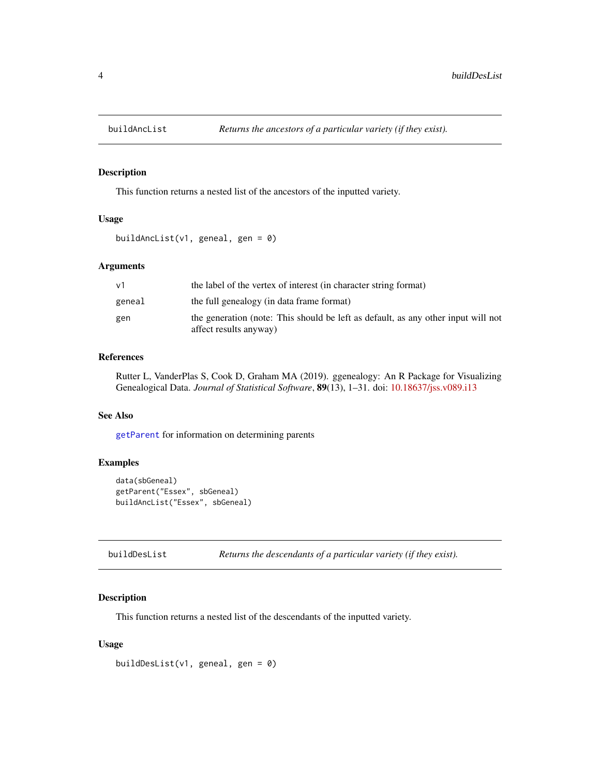<span id="page-3-1"></span><span id="page-3-0"></span>

This function returns a nested list of the ancestors of the inputted variety.

#### Usage

buildAncList(v1, geneal, gen =  $\theta$ )

# Arguments

| ν1     | the label of the vertex of interest (in character string format)                                            |
|--------|-------------------------------------------------------------------------------------------------------------|
| geneal | the full genealogy (in data frame format)                                                                   |
| gen    | the generation (note: This should be left as default, as any other input will not<br>affect results anyway) |

# References

Rutter L, VanderPlas S, Cook D, Graham MA (2019). ggenealogy: An R Package for Visualizing Genealogical Data. *Journal of Statistical Software*, 89(13), 1–31. doi: [10.18637/jss.v089.i13](https://doi.org/10.18637/jss.v089.i13)

# See Also

[getParent](#page-14-1) for information on determining parents

# Examples

```
data(sbGeneal)
getParent("Essex", sbGeneal)
buildAncList("Essex", sbGeneal)
```
<span id="page-3-2"></span>buildDesList *Returns the descendants of a particular variety (if they exist).*

# Description

This function returns a nested list of the descendants of the inputted variety.

# Usage

buildDesList(v1, geneal, gen =  $0$ )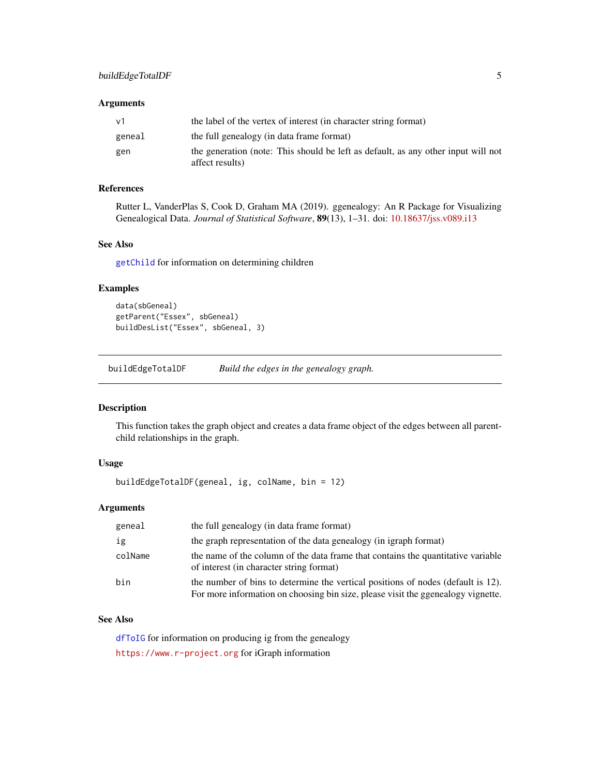# <span id="page-4-0"></span>Arguments

| v1     | the label of the vertex of interest (in character string format)                                     |
|--------|------------------------------------------------------------------------------------------------------|
| geneal | the full genealogy (in data frame format)                                                            |
| gen    | the generation (note: This should be left as default, as any other input will not<br>affect results) |

# References

Rutter L, VanderPlas S, Cook D, Graham MA (2019). ggenealogy: An R Package for Visualizing Genealogical Data. *Journal of Statistical Software*, 89(13), 1–31. doi: [10.18637/jss.v089.i13](https://doi.org/10.18637/jss.v089.i13)

#### See Also

[getChild](#page-11-1) for information on determining children

#### Examples

```
data(sbGeneal)
getParent("Essex", sbGeneal)
buildDesList("Essex", sbGeneal, 3)
```
buildEdgeTotalDF *Build the edges in the genealogy graph.*

#### Description

This function takes the graph object and creates a data frame object of the edges between all parentchild relationships in the graph.

# Usage

```
buildEdgeTotalDF(geneal, ig, colName, bin = 12)
```
# Arguments

| geneal  | the full genealogy (in data frame format)                                                                                                                            |
|---------|----------------------------------------------------------------------------------------------------------------------------------------------------------------------|
| ig      | the graph representation of the data genealogy (in igraph format)                                                                                                    |
| colName | the name of the column of the data frame that contains the quantitative variable<br>of interest (in character string format)                                         |
| bin     | the number of bins to determine the vertical positions of nodes (default is 12).<br>For more information on choosing bin size, please visit the ggenealogy vignette. |

# See Also

[dfToIG](#page-7-1) for information on producing ig from the genealogy <https://www.r-project.org> for iGraph information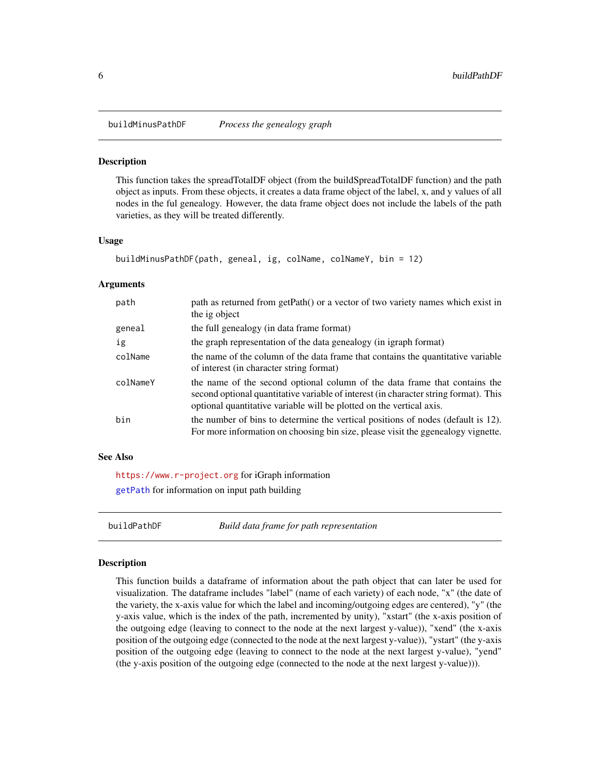<span id="page-5-0"></span>

This function takes the spreadTotalDF object (from the buildSpreadTotalDF function) and the path object as inputs. From these objects, it creates a data frame object of the label, x, and y values of all nodes in the ful genealogy. However, the data frame object does not include the labels of the path varieties, as they will be treated differently.

#### Usage

```
buildMinusPathDF(path, geneal, ig, colName, colNameY, bin = 12)
```
#### Arguments

| path     | path as returned from getPath() or a vector of two variety names which exist in<br>the ig object                                                                                                                                           |
|----------|--------------------------------------------------------------------------------------------------------------------------------------------------------------------------------------------------------------------------------------------|
| geneal   | the full genealogy (in data frame format)                                                                                                                                                                                                  |
| ig       | the graph representation of the data genealogy (in igraph format)                                                                                                                                                                          |
| colName  | the name of the column of the data frame that contains the quantitative variable<br>of interest (in character string format)                                                                                                               |
| colNameY | the name of the second optional column of the data frame that contains the<br>second optional quantitative variable of interest (in character string format). This<br>optional quantitative variable will be plotted on the vertical axis. |
| bin      | the number of bins to determine the vertical positions of nodes (default is 12).<br>For more information on choosing bin size, please visit the ggenealogy vignette.                                                                       |

#### See Also

<https://www.r-project.org> for iGraph information [getPath](#page-14-2) for information on input path building

buildPathDF *Build data frame for path representation*

#### Description

This function builds a dataframe of information about the path object that can later be used for visualization. The dataframe includes "label" (name of each variety) of each node, "x" (the date of the variety, the x-axis value for which the label and incoming/outgoing edges are centered), "y" (the y-axis value, which is the index of the path, incremented by unity), "xstart" (the x-axis position of the outgoing edge (leaving to connect to the node at the next largest y-value)), "xend" (the x-axis position of the outgoing edge (connected to the node at the next largest y-value)), "ystart" (the y-axis position of the outgoing edge (leaving to connect to the node at the next largest y-value), "yend" (the y-axis position of the outgoing edge (connected to the node at the next largest y-value))).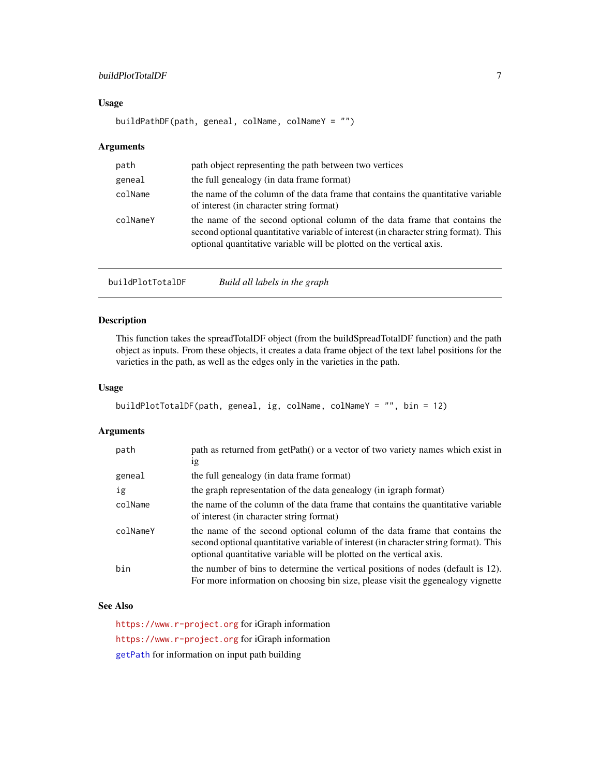# <span id="page-6-0"></span>buildPlotTotalDF 7

# Usage

```
buildPathDF(path, geneal, colName, colNameY = "")
```
#### Arguments

| path     | path object representing the path between two vertices                                                                                                                                                                                     |
|----------|--------------------------------------------------------------------------------------------------------------------------------------------------------------------------------------------------------------------------------------------|
| geneal   | the full genealogy (in data frame format)                                                                                                                                                                                                  |
| colName  | the name of the column of the data frame that contains the quantitative variable<br>of interest (in character string format)                                                                                                               |
| colNameY | the name of the second optional column of the data frame that contains the<br>second optional quantitative variable of interest (in character string format). This<br>optional quantitative variable will be plotted on the vertical axis. |

| buildPlotTotalDF | Build all labels in the graph |
|------------------|-------------------------------|
|------------------|-------------------------------|

# Description

This function takes the spreadTotalDF object (from the buildSpreadTotalDF function) and the path object as inputs. From these objects, it creates a data frame object of the text label positions for the varieties in the path, as well as the edges only in the varieties in the path.

# Usage

```
buildPlotTotalDF(path, geneal, ig, colName, colNameY = "", bin = 12)
```
# Arguments

| path     | path as returned from getPath() or a vector of two variety names which exist in                                                                                                                                                            |
|----------|--------------------------------------------------------------------------------------------------------------------------------------------------------------------------------------------------------------------------------------------|
|          | 1g                                                                                                                                                                                                                                         |
| geneal   | the full genealogy (in data frame format)                                                                                                                                                                                                  |
| ig       | the graph representation of the data genealogy (in igraph format)                                                                                                                                                                          |
| colName  | the name of the column of the data frame that contains the quantitative variable<br>of interest (in character string format)                                                                                                               |
| colNameY | the name of the second optional column of the data frame that contains the<br>second optional quantitative variable of interest (in character string format). This<br>optional quantitative variable will be plotted on the vertical axis. |
| bin      | the number of bins to determine the vertical positions of nodes (default is 12).<br>For more information on choosing bin size, please visit the ggenealogy vignette                                                                        |

# See Also

<https://www.r-project.org> for iGraph information <https://www.r-project.org> for iGraph information [getPath](#page-14-2) for information on input path building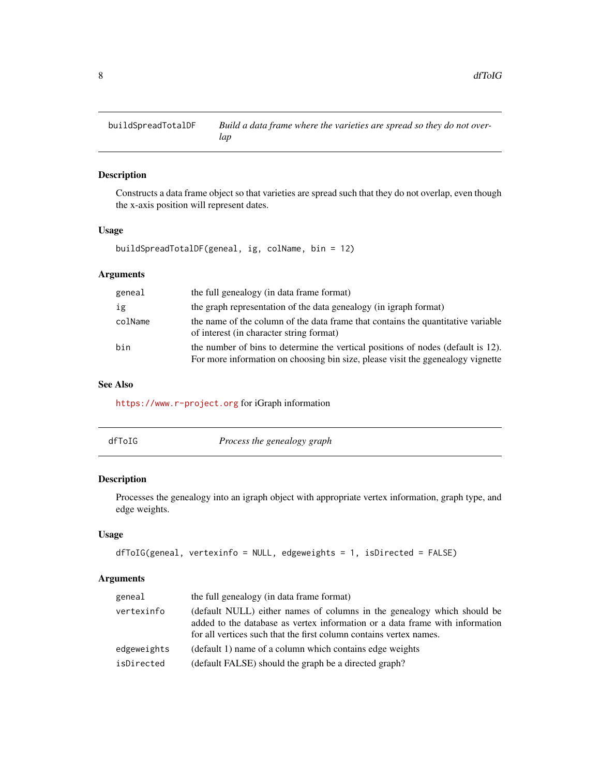<span id="page-7-0"></span>

Constructs a data frame object so that varieties are spread such that they do not overlap, even though the x-axis position will represent dates.

# Usage

buildSpreadTotalDF(geneal, ig, colName, bin = 12)

# Arguments

| geneal  | the full genealogy (in data frame format)                                                                                                                           |
|---------|---------------------------------------------------------------------------------------------------------------------------------------------------------------------|
| ig      | the graph representation of the data genealogy (in igraph format)                                                                                                   |
| colName | the name of the column of the data frame that contains the quantitative variable<br>of interest (in character string format)                                        |
| bin     | the number of bins to determine the vertical positions of nodes (default is 12).<br>For more information on choosing bin size, please visit the ggenealogy vignette |

# See Also

<https://www.r-project.org> for iGraph information

<span id="page-7-1"></span>

| dfToIG | Process the genealogy graph |
|--------|-----------------------------|
|        |                             |

# Description

Processes the genealogy into an igraph object with appropriate vertex information, graph type, and edge weights.

# Usage

```
dfToIG(geneal, vertexinfo = NULL, edgeweights = 1, isDirected = FALSE)
```

| geneal      | the full genealogy (in data frame format)                                                                                                                                                                                     |
|-------------|-------------------------------------------------------------------------------------------------------------------------------------------------------------------------------------------------------------------------------|
| vertexinfo  | (default NULL) either names of columns in the genealogy which should be<br>added to the database as vertex information or a data frame with information<br>for all vertices such that the first column contains vertex names. |
| edgeweights | (default 1) name of a column which contains edge weights                                                                                                                                                                      |
| isDirected  | (default FALSE) should the graph be a directed graph?                                                                                                                                                                         |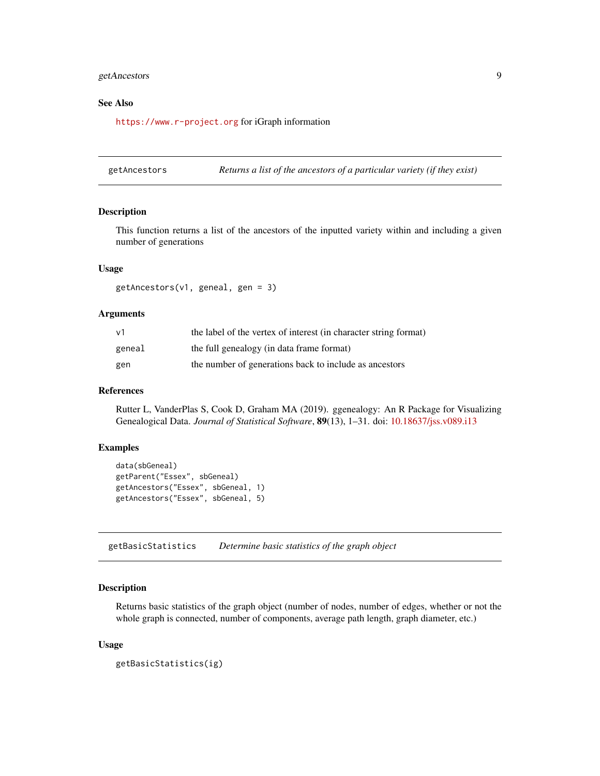# <span id="page-8-0"></span>getAncestors 9

#### See Also

<https://www.r-project.org> for iGraph information

getAncestors *Returns a list of the ancestors of a particular variety (if they exist)*

#### **Description**

This function returns a list of the ancestors of the inputted variety within and including a given number of generations

#### Usage

getAncestors(v1, geneal, gen = 3)

#### Arguments

| V <sub>1</sub> | the label of the vertex of interest (in character string format) |
|----------------|------------------------------------------------------------------|
| geneal         | the full genealogy (in data frame format)                        |
| gen            | the number of generations back to include as ancestors           |

#### References

Rutter L, VanderPlas S, Cook D, Graham MA (2019). ggenealogy: An R Package for Visualizing Genealogical Data. *Journal of Statistical Software*, 89(13), 1–31. doi: [10.18637/jss.v089.i13](https://doi.org/10.18637/jss.v089.i13)

#### Examples

```
data(sbGeneal)
getParent("Essex", sbGeneal)
getAncestors("Essex", sbGeneal, 1)
getAncestors("Essex", sbGeneal, 5)
```
getBasicStatistics *Determine basic statistics of the graph object*

# Description

Returns basic statistics of the graph object (number of nodes, number of edges, whether or not the whole graph is connected, number of components, average path length, graph diameter, etc.)

#### Usage

```
getBasicStatistics(ig)
```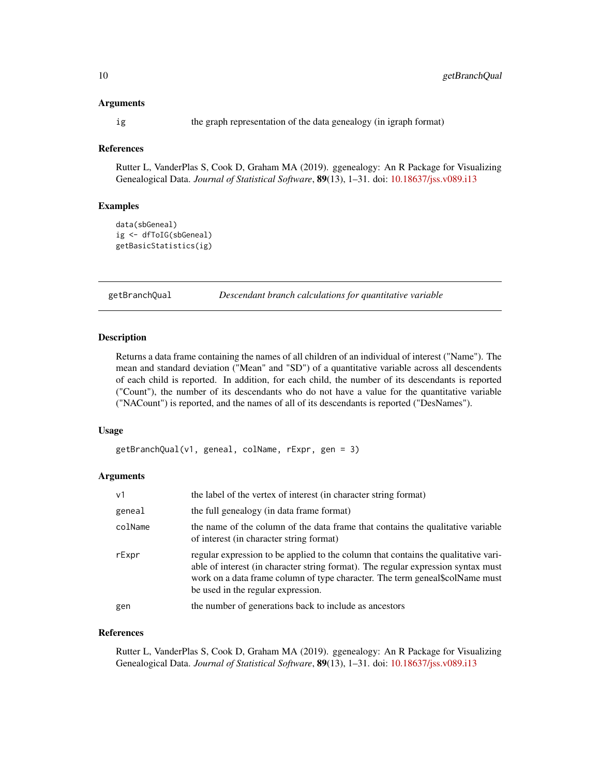#### <span id="page-9-0"></span>Arguments

ig the graph representation of the data genealogy (in igraph format)

# References

Rutter L, VanderPlas S, Cook D, Graham MA (2019). ggenealogy: An R Package for Visualizing Genealogical Data. *Journal of Statistical Software*, 89(13), 1–31. doi: [10.18637/jss.v089.i13](https://doi.org/10.18637/jss.v089.i13)

#### Examples

```
data(sbGeneal)
ig <- dfToIG(sbGeneal)
getBasicStatistics(ig)
```
getBranchQual *Descendant branch calculations for quantitative variable*

#### Description

Returns a data frame containing the names of all children of an individual of interest ("Name"). The mean and standard deviation ("Mean" and "SD") of a quantitative variable across all descendents of each child is reported. In addition, for each child, the number of its descendants is reported ("Count"), the number of its descendants who do not have a value for the quantitative variable ("NACount") is reported, and the names of all of its descendants is reported ("DesNames").

#### Usage

getBranchQual(v1, geneal, colName, rExpr, gen = 3)

#### **Arguments**

| v <sub>1</sub> | the label of the vertex of interest (in character string format)                                                                                                                                                                                                                              |
|----------------|-----------------------------------------------------------------------------------------------------------------------------------------------------------------------------------------------------------------------------------------------------------------------------------------------|
| geneal         | the full genealogy (in data frame format)                                                                                                                                                                                                                                                     |
| colName        | the name of the column of the data frame that contains the qualitative variable<br>of interest (in character string format)                                                                                                                                                                   |
| rExpr          | regular expression to be applied to the column that contains the qualitative vari-<br>able of interest (in character string format). The regular expression syntax must<br>work on a data frame column of type character. The term geneal\$colName must<br>be used in the regular expression. |
| gen            | the number of generations back to include as ancestors                                                                                                                                                                                                                                        |

#### References

Rutter L, VanderPlas S, Cook D, Graham MA (2019). ggenealogy: An R Package for Visualizing Genealogical Data. *Journal of Statistical Software*, 89(13), 1–31. doi: [10.18637/jss.v089.i13](https://doi.org/10.18637/jss.v089.i13)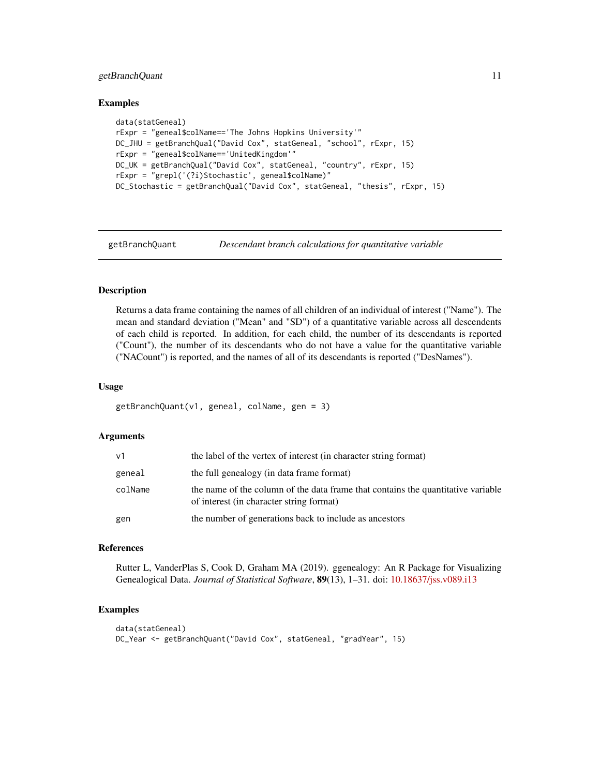# <span id="page-10-0"></span>getBranchQuant 11

#### Examples

```
data(statGeneal)
rExpr = "geneal$colName=='The Johns Hopkins University'"
DC_JHU = getBranchQual("David Cox", statGeneal, "school", rExpr, 15)
rExpr = "geneal$colName=='UnitedKingdom'"
DC_UK = getBranchQual("David Cox", statGeneal, "country", rExpr, 15)
rExpr = "grepl('(?i)Stochastic', geneal$colName)"
DC_Stochastic = getBranchQual("David Cox", statGeneal, "thesis", rExpr, 15)
```
getBranchQuant *Descendant branch calculations for quantitative variable*

# Description

Returns a data frame containing the names of all children of an individual of interest ("Name"). The mean and standard deviation ("Mean" and "SD") of a quantitative variable across all descendents of each child is reported. In addition, for each child, the number of its descendants is reported ("Count"), the number of its descendants who do not have a value for the quantitative variable ("NACount") is reported, and the names of all of its descendants is reported ("DesNames").

#### Usage

getBranchQuant(v1, geneal, colName, gen = 3)

#### Arguments

| ν1      | the label of the vertex of interest (in character string format)                                                             |
|---------|------------------------------------------------------------------------------------------------------------------------------|
| geneal  | the full genealogy (in data frame format)                                                                                    |
| colName | the name of the column of the data frame that contains the quantitative variable<br>of interest (in character string format) |
| gen     | the number of generations back to include as ancestors                                                                       |

#### References

Rutter L, VanderPlas S, Cook D, Graham MA (2019). ggenealogy: An R Package for Visualizing Genealogical Data. *Journal of Statistical Software*, 89(13), 1–31. doi: [10.18637/jss.v089.i13](https://doi.org/10.18637/jss.v089.i13)

```
data(statGeneal)
DC_Year <- getBranchQuant("David Cox", statGeneal, "gradYear", 15)
```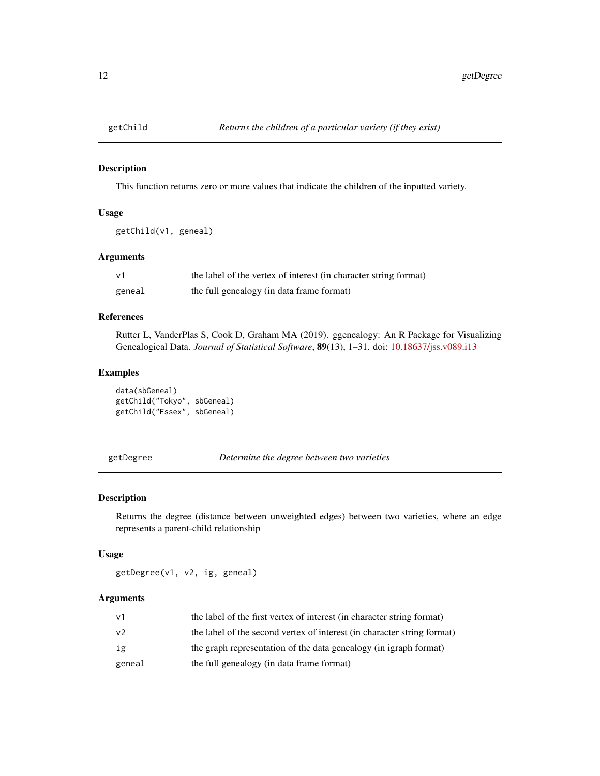<span id="page-11-1"></span><span id="page-11-0"></span>

This function returns zero or more values that indicate the children of the inputted variety.

# Usage

```
getChild(v1, geneal)
```
# Arguments

| $\vee$ 1 | the label of the vertex of interest (in character string format) |
|----------|------------------------------------------------------------------|
| geneal   | the full genealogy (in data frame format)                        |

# References

Rutter L, VanderPlas S, Cook D, Graham MA (2019). ggenealogy: An R Package for Visualizing Genealogical Data. *Journal of Statistical Software*, 89(13), 1–31. doi: [10.18637/jss.v089.i13](https://doi.org/10.18637/jss.v089.i13)

# Examples

```
data(sbGeneal)
getChild("Tokyo", sbGeneal)
getChild("Essex", sbGeneal)
```

```
getDegree Determine the degree between two varieties
```
# Description

Returns the degree (distance between unweighted edges) between two varieties, where an edge represents a parent-child relationship

#### Usage

getDegree(v1, v2, ig, geneal)

| ν1     | the label of the first vertex of interest (in character string format)  |
|--------|-------------------------------------------------------------------------|
| ν2     | the label of the second vertex of interest (in character string format) |
| ig     | the graph representation of the data genealogy (in igraph format)       |
| geneal | the full genealogy (in data frame format)                               |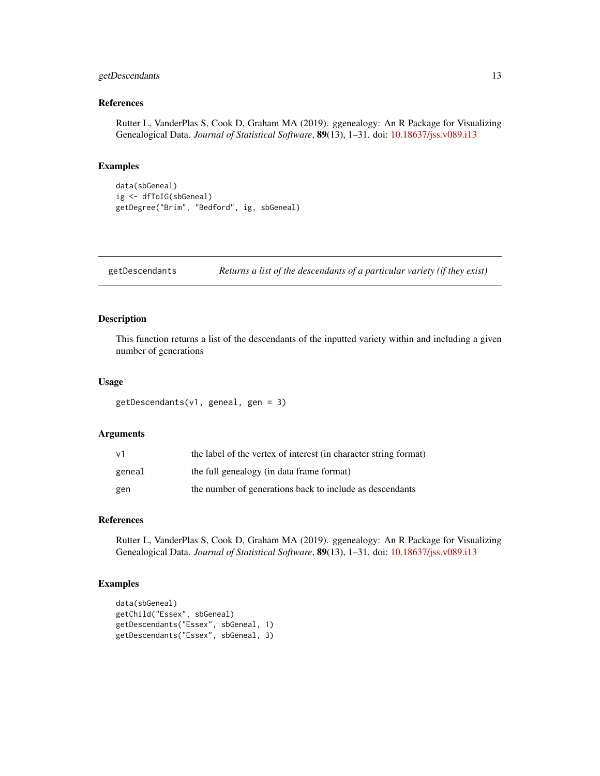# <span id="page-12-0"></span>getDescendants 13

# References

Rutter L, VanderPlas S, Cook D, Graham MA (2019). ggenealogy: An R Package for Visualizing Genealogical Data. *Journal of Statistical Software*, 89(13), 1–31. doi: [10.18637/jss.v089.i13](https://doi.org/10.18637/jss.v089.i13)

# Examples

```
data(sbGeneal)
ig <- dfToIG(sbGeneal)
getDegree("Brim", "Bedford", ig, sbGeneal)
```
getDescendants *Returns a list of the descendants of a particular variety (if they exist)*

# Description

This function returns a list of the descendants of the inputted variety within and including a given number of generations

# Usage

```
getDescendants(v1, geneal, gen = 3)
```
#### Arguments

| ν1     | the label of the vertex of interest (in character string format) |
|--------|------------------------------------------------------------------|
| geneal | the full genealogy (in data frame format)                        |
| gen    | the number of generations back to include as descendants         |

#### References

Rutter L, VanderPlas S, Cook D, Graham MA (2019). ggenealogy: An R Package for Visualizing Genealogical Data. *Journal of Statistical Software*, 89(13), 1–31. doi: [10.18637/jss.v089.i13](https://doi.org/10.18637/jss.v089.i13)

```
data(sbGeneal)
getChild("Essex", sbGeneal)
getDescendants("Essex", sbGeneal, 1)
getDescendants("Essex", sbGeneal, 3)
```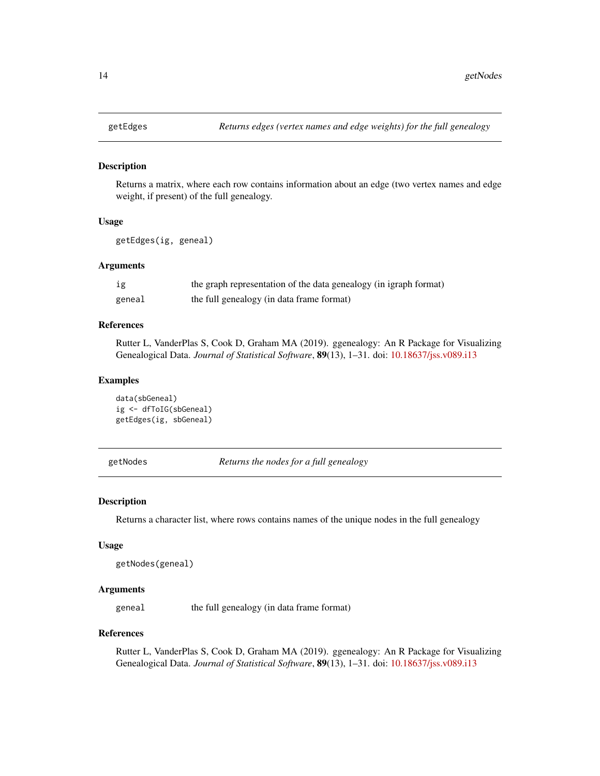<span id="page-13-0"></span>

Returns a matrix, where each row contains information about an edge (two vertex names and edge weight, if present) of the full genealogy.

#### Usage

getEdges(ig, geneal)

#### Arguments

| ig     | the graph representation of the data genealogy (in igraph format) |
|--------|-------------------------------------------------------------------|
| geneal | the full genealogy (in data frame format)                         |

# References

Rutter L, VanderPlas S, Cook D, Graham MA (2019). ggenealogy: An R Package for Visualizing Genealogical Data. *Journal of Statistical Software*, 89(13), 1–31. doi: [10.18637/jss.v089.i13](https://doi.org/10.18637/jss.v089.i13)

#### Examples

data(sbGeneal) ig <- dfToIG(sbGeneal) getEdges(ig, sbGeneal)

getNodes *Returns the nodes for a full genealogy*

#### Description

Returns a character list, where rows contains names of the unique nodes in the full genealogy

#### Usage

```
getNodes(geneal)
```
#### **Arguments**

geneal the full genealogy (in data frame format)

#### References

Rutter L, VanderPlas S, Cook D, Graham MA (2019). ggenealogy: An R Package for Visualizing Genealogical Data. *Journal of Statistical Software*, 89(13), 1–31. doi: [10.18637/jss.v089.i13](https://doi.org/10.18637/jss.v089.i13)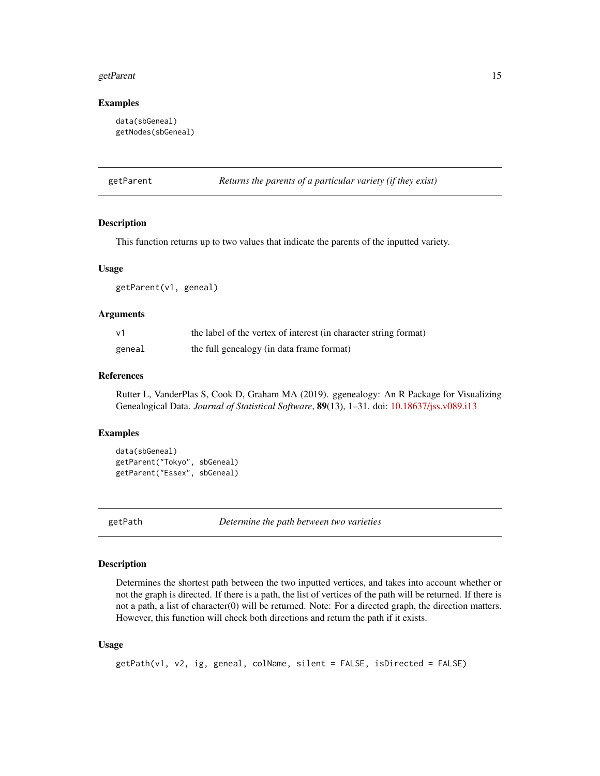#### <span id="page-14-0"></span>getParent 15

#### Examples

```
data(sbGeneal)
getNodes(sbGeneal)
```
<span id="page-14-1"></span>getParent *Returns the parents of a particular variety (if they exist)*

#### Description

This function returns up to two values that indicate the parents of the inputted variety.

#### Usage

getParent(v1, geneal)

#### Arguments

| $\vee$ 1 | the label of the vertex of interest (in character string format) |
|----------|------------------------------------------------------------------|
| geneal   | the full genealogy (in data frame format)                        |

#### References

Rutter L, VanderPlas S, Cook D, Graham MA (2019). ggenealogy: An R Package for Visualizing Genealogical Data. *Journal of Statistical Software*, 89(13), 1–31. doi: [10.18637/jss.v089.i13](https://doi.org/10.18637/jss.v089.i13)

#### Examples

```
data(sbGeneal)
getParent("Tokyo", sbGeneal)
getParent("Essex", sbGeneal)
```
<span id="page-14-2"></span>

getPath *Determine the path between two varieties*

#### Description

Determines the shortest path between the two inputted vertices, and takes into account whether or not the graph is directed. If there is a path, the list of vertices of the path will be returned. If there is not a path, a list of character(0) will be returned. Note: For a directed graph, the direction matters. However, this function will check both directions and return the path if it exists.

#### Usage

```
getPath(v1, v2, ig, geneal, colName, silent = FALSE, isDirected = FALSE)
```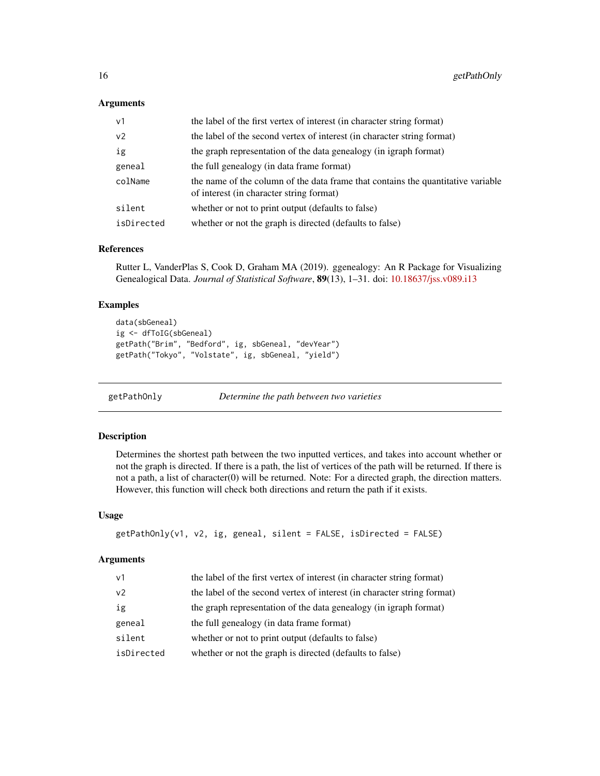#### <span id="page-15-0"></span>Arguments

| v <sub>1</sub> | the label of the first vertex of interest (in character string format)                                                       |
|----------------|------------------------------------------------------------------------------------------------------------------------------|
| v <sub>2</sub> | the label of the second vertex of interest (in character string format)                                                      |
| ig             | the graph representation of the data genealogy (in igraph format)                                                            |
| geneal         | the full genealogy (in data frame format)                                                                                    |
| colName        | the name of the column of the data frame that contains the quantitative variable<br>of interest (in character string format) |
| silent         | whether or not to print output (defaults to false)                                                                           |
| isDirected     | whether or not the graph is directed (defaults to false)                                                                     |

# References

Rutter L, VanderPlas S, Cook D, Graham MA (2019). ggenealogy: An R Package for Visualizing Genealogical Data. *Journal of Statistical Software*, 89(13), 1–31. doi: [10.18637/jss.v089.i13](https://doi.org/10.18637/jss.v089.i13)

#### Examples

```
data(sbGeneal)
ig <- dfToIG(sbGeneal)
getPath("Brim", "Bedford", ig, sbGeneal, "devYear")
getPath("Tokyo", "Volstate", ig, sbGeneal, "yield")
```
getPathOnly *Determine the path between two varieties*

# Description

Determines the shortest path between the two inputted vertices, and takes into account whether or not the graph is directed. If there is a path, the list of vertices of the path will be returned. If there is not a path, a list of character(0) will be returned. Note: For a directed graph, the direction matters. However, this function will check both directions and return the path if it exists.

#### Usage

```
getPathOnly(v1, v2, ig, geneal, silent = FALSE, isDirected = FALSE)
```

| $\vee$ 1       | the label of the first vertex of interest (in character string format)  |
|----------------|-------------------------------------------------------------------------|
| v <sub>2</sub> | the label of the second vertex of interest (in character string format) |
| ig             | the graph representation of the data genealogy (in igraph format)       |
| geneal         | the full genealogy (in data frame format)                               |
| silent         | whether or not to print output (defaults to false)                      |
| isDirected     | whether or not the graph is directed (defaults to false)                |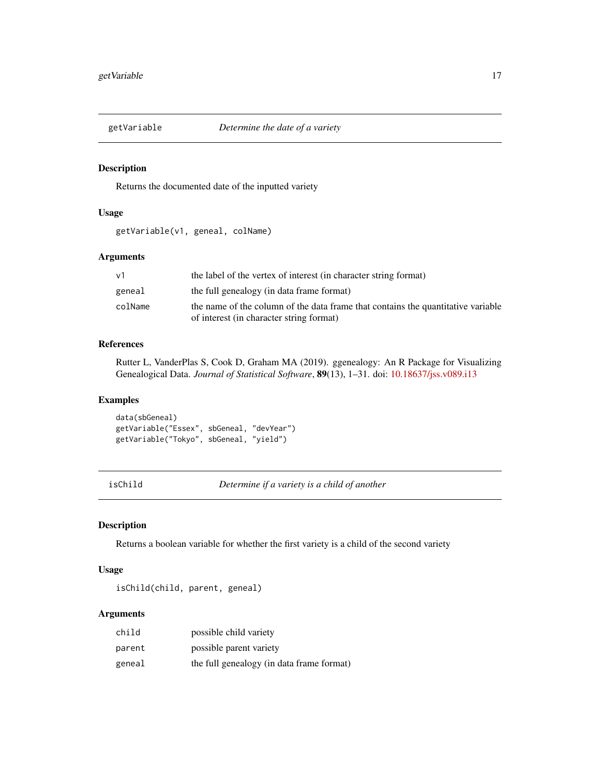<span id="page-16-0"></span>

Returns the documented date of the inputted variety

#### Usage

getVariable(v1, geneal, colName)

# Arguments

| ν1      | the label of the vertex of interest (in character string format)                 |
|---------|----------------------------------------------------------------------------------|
| geneal  | the full genealogy (in data frame format)                                        |
| colName | the name of the column of the data frame that contains the quantitative variable |
|         | of interest (in character string format)                                         |

#### References

Rutter L, VanderPlas S, Cook D, Graham MA (2019). ggenealogy: An R Package for Visualizing Genealogical Data. *Journal of Statistical Software*, 89(13), 1–31. doi: [10.18637/jss.v089.i13](https://doi.org/10.18637/jss.v089.i13)

#### Examples

data(sbGeneal) getVariable("Essex", sbGeneal, "devYear") getVariable("Tokyo", sbGeneal, "yield")

isChild *Determine if a variety is a child of another*

# Description

Returns a boolean variable for whether the first variety is a child of the second variety

#### Usage

isChild(child, parent, geneal)

| child  | possible child variety                    |
|--------|-------------------------------------------|
| parent | possible parent variety                   |
| geneal | the full genealogy (in data frame format) |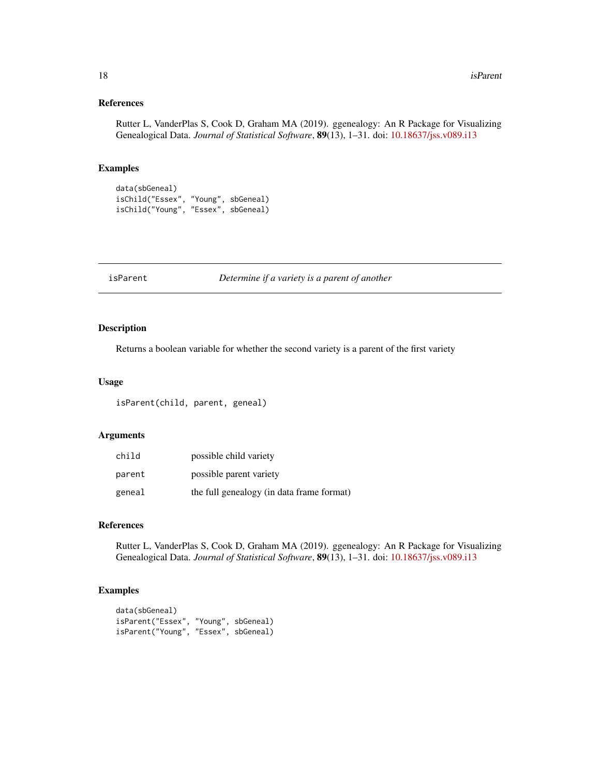# <span id="page-17-0"></span>References

Rutter L, VanderPlas S, Cook D, Graham MA (2019). ggenealogy: An R Package for Visualizing Genealogical Data. *Journal of Statistical Software*, 89(13), 1–31. doi: [10.18637/jss.v089.i13](https://doi.org/10.18637/jss.v089.i13)

#### Examples

```
data(sbGeneal)
isChild("Essex", "Young", sbGeneal)
isChild("Young", "Essex", sbGeneal)
```
isParent *Determine if a variety is a parent of another*

# Description

Returns a boolean variable for whether the second variety is a parent of the first variety

#### Usage

isParent(child, parent, geneal)

# Arguments

| child  | possible child variety                    |
|--------|-------------------------------------------|
| parent | possible parent variety                   |
| geneal | the full genealogy (in data frame format) |

#### References

Rutter L, VanderPlas S, Cook D, Graham MA (2019). ggenealogy: An R Package for Visualizing Genealogical Data. *Journal of Statistical Software*, 89(13), 1–31. doi: [10.18637/jss.v089.i13](https://doi.org/10.18637/jss.v089.i13)

```
data(sbGeneal)
isParent("Essex", "Young", sbGeneal)
isParent("Young", "Essex", sbGeneal)
```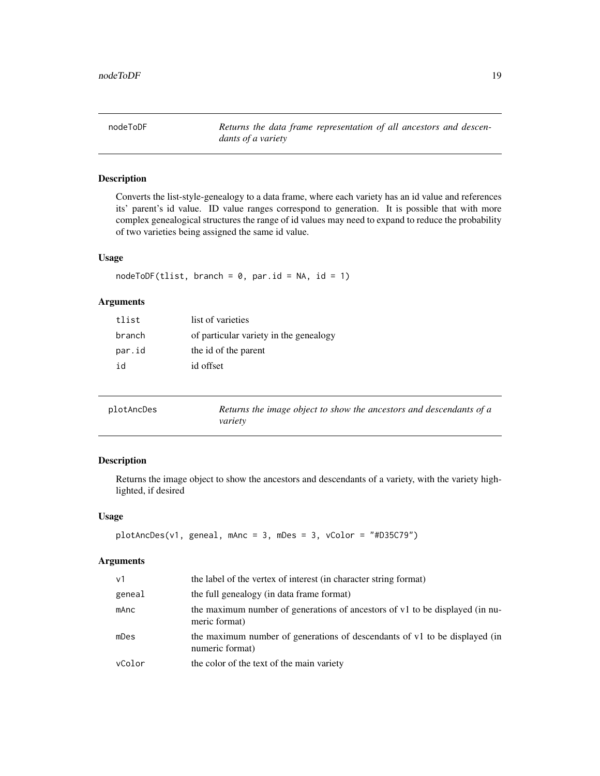<span id="page-18-0"></span>nodeToDF *Returns the data frame representation of all ancestors and descendants of a variety*

# Description

Converts the list-style-genealogy to a data frame, where each variety has an id value and references its' parent's id value. ID value ranges correspond to generation. It is possible that with more complex genealogical structures the range of id values may need to expand to reduce the probability of two varieties being assigned the same id value.

# Usage

 $nodeToDF(tlist, branch = 0, par.id = NA, id = 1)$ 

# Arguments

| tlist  | list of varieties                      |
|--------|----------------------------------------|
| branch | of particular variety in the genealogy |
| par.id | the id of the parent                   |
| id     | id offset                              |

| plotAncDes | Returns the image object to show the ancestors and descendants of a |
|------------|---------------------------------------------------------------------|
|            | variety                                                             |

# Description

Returns the image object to show the ancestors and descendants of a variety, with the variety highlighted, if desired

# Usage

```
plotAncDes(v1, geneal, mAnc = 3, mDes = 3, vColor = "#D35C79")
```

| v <sub>1</sub> | the label of the vertex of interest (in character string format)                              |
|----------------|-----------------------------------------------------------------------------------------------|
| geneal         | the full genealogy (in data frame format)                                                     |
| mAnc           | the maximum number of generations of ancestors of v1 to be displayed (in nu-<br>meric format) |
| mDes           | the maximum number of generations of descendants of v1 to be displayed (in<br>numeric format) |
| vColor         | the color of the text of the main variety                                                     |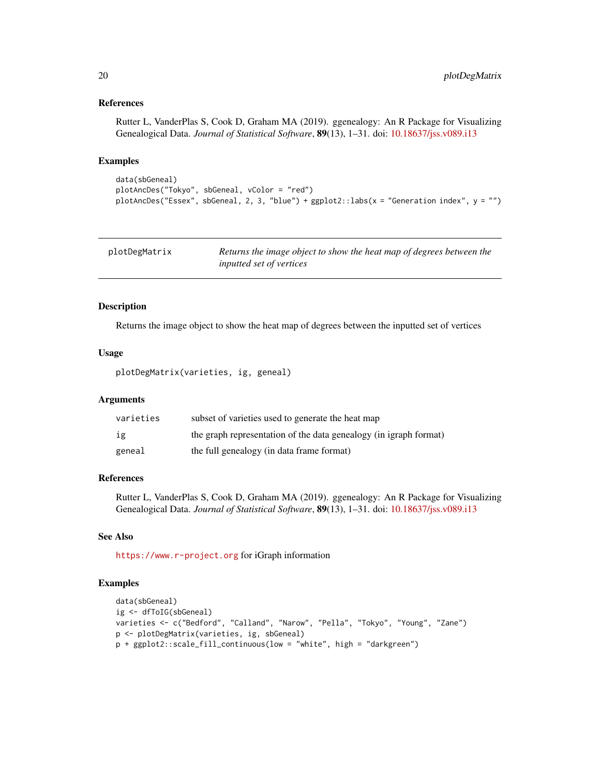#### References

Rutter L, VanderPlas S, Cook D, Graham MA (2019). ggenealogy: An R Package for Visualizing Genealogical Data. *Journal of Statistical Software*, 89(13), 1–31. doi: [10.18637/jss.v089.i13](https://doi.org/10.18637/jss.v089.i13)

# Examples

```
data(sbGeneal)
plotAncDes("Tokyo", sbGeneal, vColor = "red")
plotAncDes("Essex", sbGeneal, 2, 3, "blue") + ggplot2::labs(x = "Generation index", y = "")
```

| plotDegMatrix | Returns the image object to show the heat map of degrees between the |
|---------------|----------------------------------------------------------------------|
|               | <i>inputted set of vertices</i>                                      |

# Description

Returns the image object to show the heat map of degrees between the inputted set of vertices

#### Usage

plotDegMatrix(varieties, ig, geneal)

#### Arguments

| varieties | subset of varieties used to generate the heat map                 |
|-----------|-------------------------------------------------------------------|
| ig        | the graph representation of the data genealogy (in igraph format) |
| geneal    | the full genealogy (in data frame format)                         |

# References

Rutter L, VanderPlas S, Cook D, Graham MA (2019). ggenealogy: An R Package for Visualizing Genealogical Data. *Journal of Statistical Software*, 89(13), 1–31. doi: [10.18637/jss.v089.i13](https://doi.org/10.18637/jss.v089.i13)

#### See Also

<https://www.r-project.org> for iGraph information

```
data(sbGeneal)
ig <- dfToIG(sbGeneal)
varieties <- c("Bedford", "Calland", "Narow", "Pella", "Tokyo", "Young", "Zane")
p <- plotDegMatrix(varieties, ig, sbGeneal)
p + ggplot2::scale_fill_continuous(low = "white", high = "darkgreen")
```
<span id="page-19-0"></span>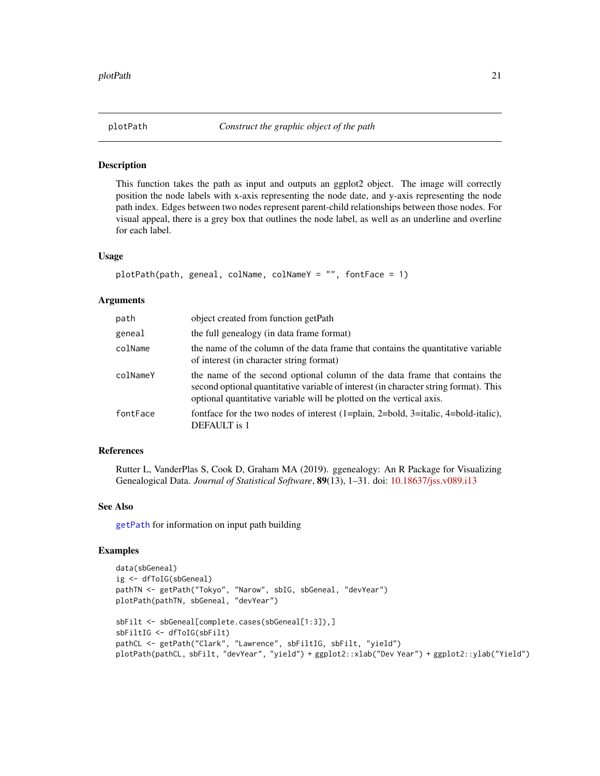<span id="page-20-0"></span>

This function takes the path as input and outputs an ggplot2 object. The image will correctly position the node labels with x-axis representing the node date, and y-axis representing the node path index. Edges between two nodes represent parent-child relationships between those nodes. For visual appeal, there is a grey box that outlines the node label, as well as an underline and overline for each label.

#### Usage

```
plotPath(path, geneal, colName, colNameY = "", fontFace = 1)
```
#### Arguments

| path     | object created from function getPath                                                                                                                                                                                                       |
|----------|--------------------------------------------------------------------------------------------------------------------------------------------------------------------------------------------------------------------------------------------|
| geneal   | the full genealogy (in data frame format)                                                                                                                                                                                                  |
| colName  | the name of the column of the data frame that contains the quantitative variable<br>of interest (in character string format)                                                                                                               |
| colNameY | the name of the second optional column of the data frame that contains the<br>second optional quantitative variable of interest (in character string format). This<br>optional quantitative variable will be plotted on the vertical axis. |
| fontFace | fontface for the two nodes of interest (1=plain, 2=bold, 3=italic, 4=bold-italic),<br><b>DEFAULT</b> is 1                                                                                                                                  |

# References

Rutter L, VanderPlas S, Cook D, Graham MA (2019). ggenealogy: An R Package for Visualizing Genealogical Data. *Journal of Statistical Software*, 89(13), 1–31. doi: [10.18637/jss.v089.i13](https://doi.org/10.18637/jss.v089.i13)

#### See Also

[getPath](#page-14-2) for information on input path building

```
data(sbGeneal)
ig <- dfToIG(sbGeneal)
pathTN <- getPath("Tokyo", "Narow", sbIG, sbGeneal, "devYear")
plotPath(pathTN, sbGeneal, "devYear")
sbFilt <- sbGeneal[complete.cases(sbGeneal[1:3]),]
sbFiltIG <- dfToIG(sbFilt)
pathCL <- getPath("Clark", "Lawrence", sbFiltIG, sbFilt, "yield")
plotPath(pathCL, sbFilt, "devYear", "yield") + ggplot2::xlab("Dev Year") + ggplot2::ylab("Yield")
```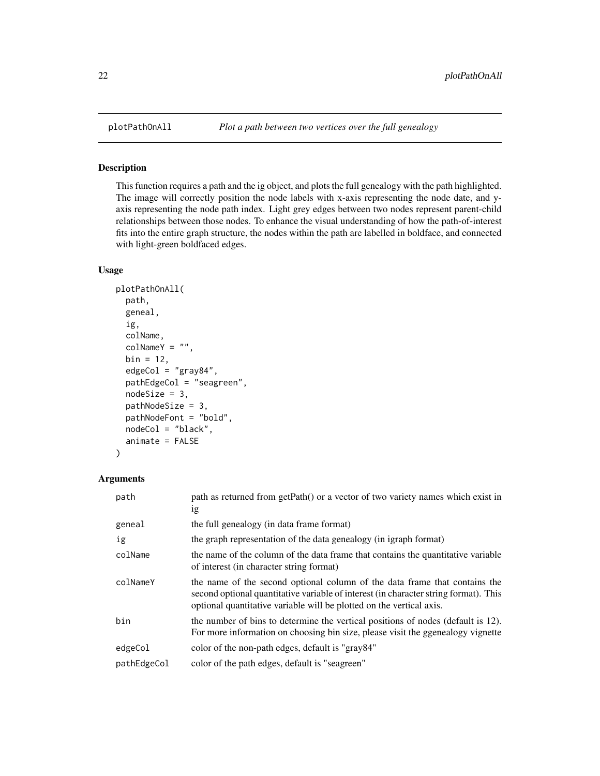<span id="page-21-0"></span>

This function requires a path and the ig object, and plots the full genealogy with the path highlighted. The image will correctly position the node labels with x-axis representing the node date, and yaxis representing the node path index. Light grey edges between two nodes represent parent-child relationships between those nodes. To enhance the visual understanding of how the path-of-interest fits into the entire graph structure, the nodes within the path are labelled in boldface, and connected with light-green boldfaced edges.

# Usage

```
plotPathOnAll(
 path,
  geneal,
  ig,
  colName,
  colNameY = "",bin = 12,
  edgeCol = "gray84",
  pathEdgeCol = "seagreen",
 nodeSize = 3,
 pathNodeSize = 3,
 pathNodeFont = "bold",
 nodeCol = "black",
  animate = FALSE
)
```

| path        | path as returned from getPath() or a vector of two variety names which exist in<br>1g                                                                                                                                                      |
|-------------|--------------------------------------------------------------------------------------------------------------------------------------------------------------------------------------------------------------------------------------------|
| geneal      | the full genealogy (in data frame format)                                                                                                                                                                                                  |
| ig          | the graph representation of the data genealogy (in igraph format)                                                                                                                                                                          |
| colName     | the name of the column of the data frame that contains the quantitative variable<br>of interest (in character string format)                                                                                                               |
| colNameY    | the name of the second optional column of the data frame that contains the<br>second optional quantitative variable of interest (in character string format). This<br>optional quantitative variable will be plotted on the vertical axis. |
| bin         | the number of bins to determine the vertical positions of nodes (default is 12).<br>For more information on choosing bin size, please visit the ggenealogy vignette                                                                        |
| edgeCol     | color of the non-path edges, default is "gray84"                                                                                                                                                                                           |
| pathEdgeCol | color of the path edges, default is "seagreen"                                                                                                                                                                                             |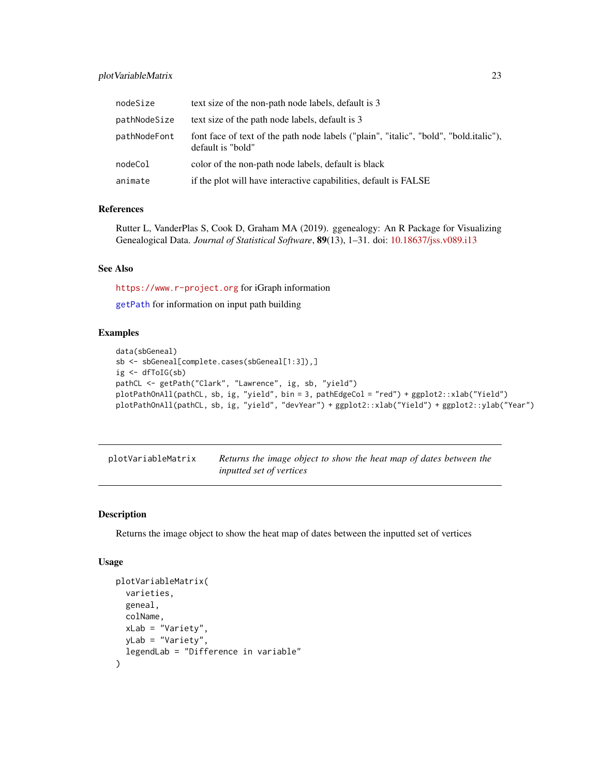# <span id="page-22-0"></span>plotVariableMatrix 23

| nodeSize     | text size of the non-path node labels, default is 3                                                        |
|--------------|------------------------------------------------------------------------------------------------------------|
| pathNodeSize | text size of the path node labels, default is 3                                                            |
| pathNodeFont | font face of text of the path node labels ("plain", "italic", "bold", "bold.italic"),<br>default is "bold" |
| nodeCol      | color of the non-path node labels, default is black                                                        |
| animate      | if the plot will have interactive capabilities, default is FALSE                                           |

#### References

Rutter L, VanderPlas S, Cook D, Graham MA (2019). ggenealogy: An R Package for Visualizing Genealogical Data. *Journal of Statistical Software*, 89(13), 1–31. doi: [10.18637/jss.v089.i13](https://doi.org/10.18637/jss.v089.i13)

#### See Also

<https://www.r-project.org> for iGraph information

[getPath](#page-14-2) for information on input path building

#### Examples

```
data(sbGeneal)
sb <- sbGeneal[complete.cases(sbGeneal[1:3]),]
ig <- dfToIG(sb)
pathCL <- getPath("Clark", "Lawrence", ig, sb, "yield")
plotPathOnAll(pathCL, sb, ig, "yield", bin = 3, pathEdgeCol = "red") + ggplot2::xlab("Yield")
plotPathOnAll(pathCL, sb, ig, "yield", "devYear") + ggplot2::xlab("Yield") + ggplot2::ylab("Year")
```
plotVariableMatrix *Returns the image object to show the heat map of dates between the inputted set of vertices*

#### Description

Returns the image object to show the heat map of dates between the inputted set of vertices

# Usage

```
plotVariableMatrix(
  varieties,
  geneal,
  colName,
  xLab = "Variety",
 yLab = "Variety",
  legendLab = "Difference in variable"
)
```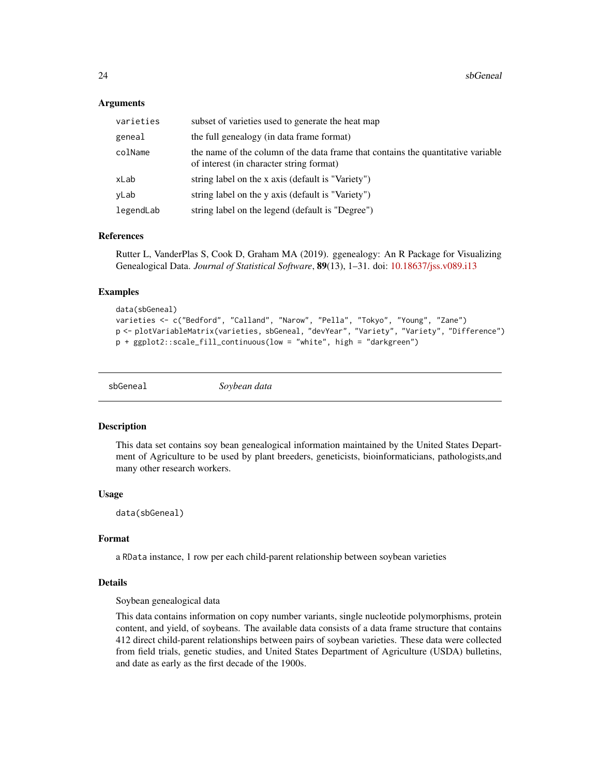#### <span id="page-23-0"></span>Arguments

| varieties | subset of varieties used to generate the heat map                                                                            |
|-----------|------------------------------------------------------------------------------------------------------------------------------|
| geneal    | the full genealogy (in data frame format)                                                                                    |
| colName   | the name of the column of the data frame that contains the quantitative variable<br>of interest (in character string format) |
| xLab      | string label on the x axis (default is "Variety")                                                                            |
| yLab      | string label on the y axis (default is "Variety")                                                                            |
| legendLab | string label on the legend (default is "Degree")                                                                             |

#### References

Rutter L, VanderPlas S, Cook D, Graham MA (2019). ggenealogy: An R Package for Visualizing Genealogical Data. *Journal of Statistical Software*, 89(13), 1–31. doi: [10.18637/jss.v089.i13](https://doi.org/10.18637/jss.v089.i13)

#### Examples

```
data(sbGeneal)
varieties <- c("Bedford", "Calland", "Narow", "Pella", "Tokyo", "Young", "Zane")
p <- plotVariableMatrix(varieties, sbGeneal, "devYear", "Variety", "Variety", "Difference")
p + ggplot2::scale_fill_continuous(low = "white", high = "darkgreen")
```
sbGeneal *Soybean data*

#### **Description**

This data set contains soy bean genealogical information maintained by the United States Department of Agriculture to be used by plant breeders, geneticists, bioinformaticians, pathologists,and many other research workers.

#### Usage

data(sbGeneal)

# Format

a RData instance, 1 row per each child-parent relationship between soybean varieties

### Details

Soybean genealogical data

This data contains information on copy number variants, single nucleotide polymorphisms, protein content, and yield, of soybeans. The available data consists of a data frame structure that contains 412 direct child-parent relationships between pairs of soybean varieties. These data were collected from field trials, genetic studies, and United States Department of Agriculture (USDA) bulletins, and date as early as the first decade of the 1900s.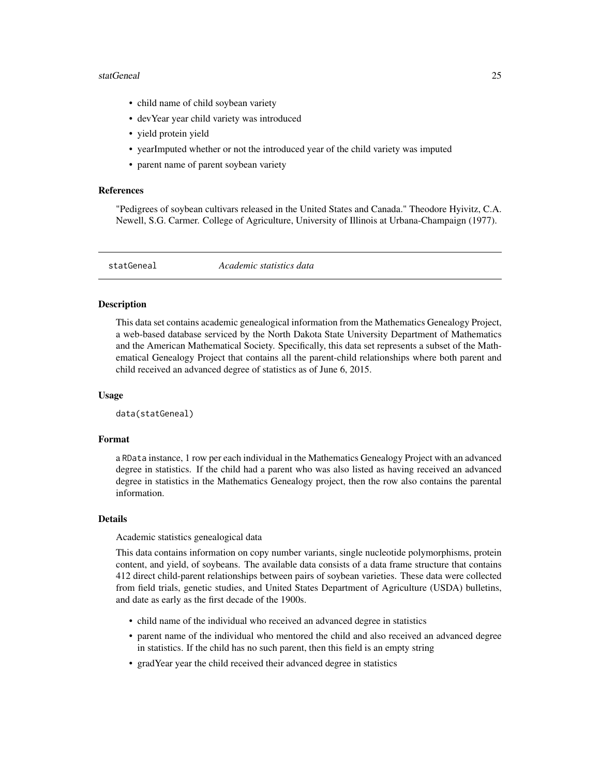#### <span id="page-24-0"></span>statGeneal 25

- child name of child soybean variety
- devYear year child variety was introduced
- yield protein yield
- yearImputed whether or not the introduced year of the child variety was imputed
- parent name of parent soybean variety

#### References

"Pedigrees of soybean cultivars released in the United States and Canada." Theodore Hyivitz, C.A. Newell, S.G. Carmer. College of Agriculture, University of Illinois at Urbana-Champaign (1977).

statGeneal *Academic statistics data*

#### Description

This data set contains academic genealogical information from the Mathematics Genealogy Project, a web-based database serviced by the North Dakota State University Department of Mathematics and the American Mathematical Society. Specifically, this data set represents a subset of the Mathematical Genealogy Project that contains all the parent-child relationships where both parent and child received an advanced degree of statistics as of June 6, 2015.

#### Usage

data(statGeneal)

#### Format

a RData instance, 1 row per each individual in the Mathematics Genealogy Project with an advanced degree in statistics. If the child had a parent who was also listed as having received an advanced degree in statistics in the Mathematics Genealogy project, then the row also contains the parental information.

#### Details

Academic statistics genealogical data

This data contains information on copy number variants, single nucleotide polymorphisms, protein content, and yield, of soybeans. The available data consists of a data frame structure that contains 412 direct child-parent relationships between pairs of soybean varieties. These data were collected from field trials, genetic studies, and United States Department of Agriculture (USDA) bulletins, and date as early as the first decade of the 1900s.

- child name of the individual who received an advanced degree in statistics
- parent name of the individual who mentored the child and also received an advanced degree in statistics. If the child has no such parent, then this field is an empty string
- gradYear year the child received their advanced degree in statistics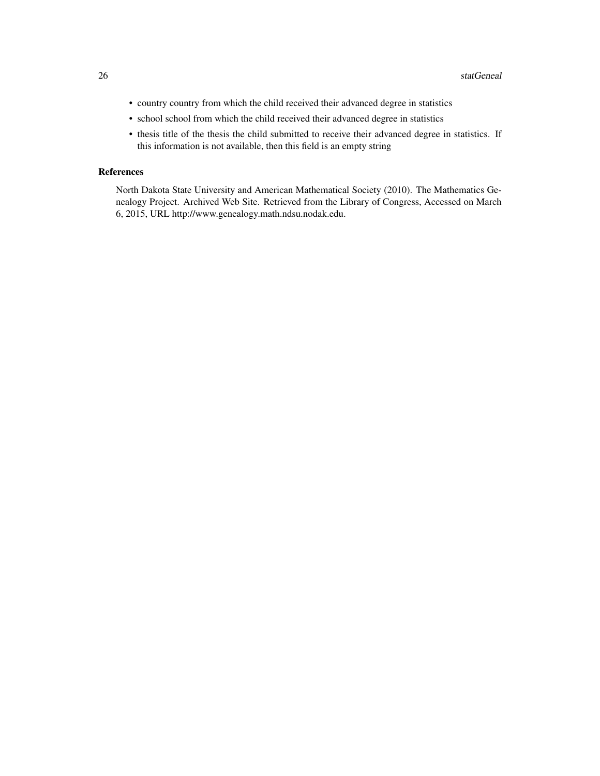- country country from which the child received their advanced degree in statistics
- school school from which the child received their advanced degree in statistics
- thesis title of the thesis the child submitted to receive their advanced degree in statistics. If this information is not available, then this field is an empty string

# References

North Dakota State University and American Mathematical Society (2010). The Mathematics Genealogy Project. Archived Web Site. Retrieved from the Library of Congress, Accessed on March 6, 2015, URL http://www.genealogy.math.ndsu.nodak.edu.